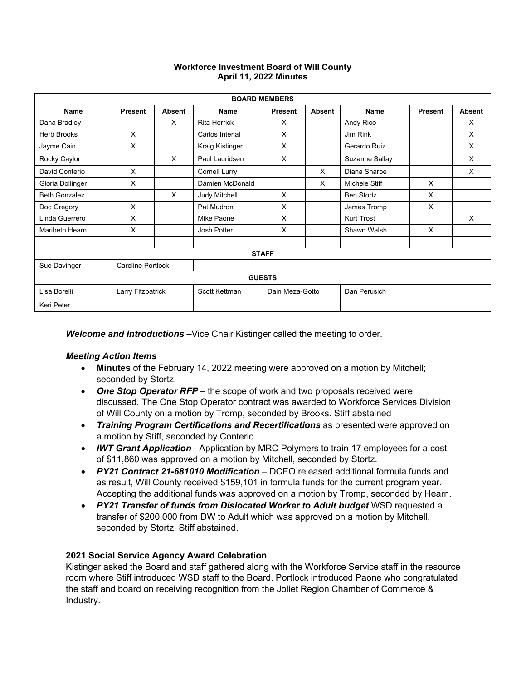#### **Workforce Investment Board of Will County April 11, 2022 Minutes**

| <b>BOARD MEMBERS</b> |                          |               |                     |                 |               |                   |                |               |
|----------------------|--------------------------|---------------|---------------------|-----------------|---------------|-------------------|----------------|---------------|
| Name                 | <b>Present</b>           | <b>Absent</b> | Name                | <b>Present</b>  | <b>Absent</b> | Name              | <b>Present</b> | <b>Absent</b> |
| Dana Bradley         |                          | X             | <b>Rita Herrick</b> | X               |               | Andy Rico         |                | X             |
| <b>Herb Brooks</b>   | X                        |               | Carlos Interial     | X               |               | Jim Rink          |                | X             |
| Jayme Cain           | X                        |               | Kraig Kistinger     | X               |               | Gerardo Ruiz      |                | $\times$      |
| Rocky Caylor         |                          | X             | Paul Lauridsen      | X               |               | Suzanne Sallay    |                | X             |
| David Conterio       | X                        |               | Cornell Lurry       |                 | X             | Diana Sharpe      |                | $\times$      |
| Gloria Dollinger     | X                        |               | Damien McDonald     |                 | X             | Michele Stiff     | X              |               |
| <b>Beth Gonzalez</b> |                          | $\times$      | Judy Mitchell       | X               |               | <b>Ben Stortz</b> | X              |               |
| Doc Gregory          | X                        |               | Pat Mudron          | X               |               | James Tromp       | X              |               |
| Linda Guerrero       | X                        |               | Mike Paone          | X               |               | <b>Kurt Trost</b> |                | $\times$      |
| Maribeth Hearn       | X                        |               | Josh Potter         | X               |               | Shawn Walsh       | X              |               |
|                      |                          |               |                     |                 |               |                   |                |               |
| <b>STAFF</b>         |                          |               |                     |                 |               |                   |                |               |
| Sue Davinger         | <b>Caroline Portlock</b> |               |                     |                 |               |                   |                |               |
|                      |                          |               |                     | <b>GUESTS</b>   |               |                   |                |               |
| Lisa Borelli         | Larry Fitzpatrick        |               | Scott Kettman       | Dain Meza-Gotto |               | Dan Perusich      |                |               |
| Keri Peter           |                          |               |                     |                 |               |                   |                |               |

*Welcome and Introductions –*Vice Chair Kistinger called the meeting to order.

## *Meeting Action Items*

- **Minutes** of the February 14, 2022 meeting were approved on a motion by Mitchell; seconded by Stortz.
- One Stop Operator RFP the scope of work and two proposals received were discussed. The One Stop Operator contract was awarded to Workforce Services Division of Will County on a motion by Tromp, seconded by Brooks. Stiff abstained
- *Training Program Certifications and Recertifications* as presented were approved on a motion by Stiff, seconded by Conterio.
- *IWT Grant Application* Application by MRC Polymers to train 17 employees for a cost of \$11,860 was approved on a motion by Mitchell, seconded by Stortz.
- *PY21 Contract 21-681010 Modification*  DCEO released additional formula funds and as result, Will County received \$159,101 in formula funds for the current program year. Accepting the additional funds was approved on a motion by Tromp, seconded by Hearn.
- *PY21 Transfer of funds from Dislocated Worker to Adult budget* WSD requested a transfer of \$200,000 from DW to Adult which was approved on a motion by Mitchell, seconded by Stortz. Stiff abstained.

## **2021 Social Service Agency Award Celebration**

Kistinger asked the Board and staff gathered along with the Workforce Service staff in the resource room where Stiff introduced WSD staff to the Board. Portlock introduced Paone who congratulated the staff and board on receiving recognition from the Joliet Region Chamber of Commerce & Industry.